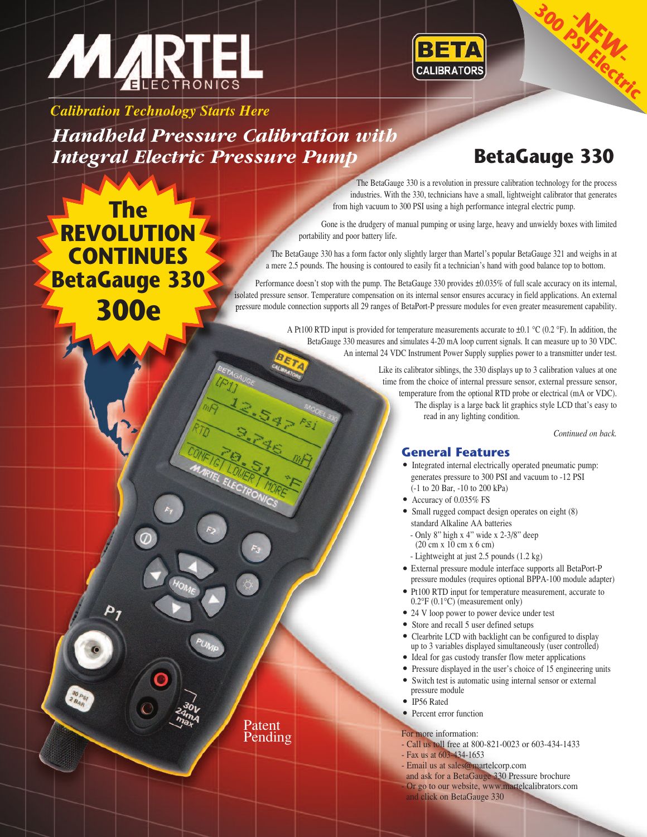



*Calibration Technology Starts Here*

*Handheld Pressure Calibration with Integral Electric Pressure Pump* **BetaGauge 330**

> Patent Pending

**-NEW-<sup>300</sup> PSI Electric**

**The REVOLUTION CONTINUES BetaGauge 330 300e**

The BetaGauge 330 is a revolution in pressure calibration technology for the process industries. With the 330, technicians have a small, lightweight calibrator that generates from high vacuum to 300 PSI using a high performance integral electric pump.

Gone is the drudgery of manual pumping or using large, heavy and unwieldy boxes with limited portability and poor battery life.

The BetaGauge 330 has a form factor only slightly larger than Martel's popular BetaGauge 321 and weighs in at a mere 2.5 pounds. The housing is contoured to easily fit a technician's hand with good balance top to bottom.

Performance doesn't stop with the pump. The BetaGauge 330 provides ±0.035% of full scale accuracy on its internal, isolated pressure sensor. Temperature compensation on its internal sensor ensures accuracy in field applications. An external pressure module connection supports all 29 ranges of BetaPort-P pressure modules for even greater measurement capability.

> A Pt100 RTD input is provided for temperature measurements accurate to  $\pm 0.1$  °C (0.2 °F). In addition, the BetaGauge 330 measures and simulates 4-20 mA loop current signals. It can measure up to 30 VDC. An internal 24 VDC Instrument Power Supply supplies power to a transmitter under test.

> > Like its calibrator siblings, the 330 displays up to 3 calibration values at one time from the choice of internal pressure sensor, external pressure sensor, temperature from the optional RTD probe or electrical (mA or VDC). The display is a large back lit graphics style LCD that's easy to read in any lighting condition.

> > > *Continued on back.*

- **General Features .** Integrated internal electrically operated pneumatic pump: generates pressure to 300 PSI and vacuum to -12 PSI (-1 to 20 Bar, -10 to 200 kPa) generates pressure to 30<br>  $(-1 \text{ to } 20 \text{ Bar}, -10 \text{ to } 200$ <br>
Accuracy of 0.035% FS
- 
- Accuracy of 0.035% FS<br>• Small rugged compact design operates on eight (8) standard Alkaline AA batteries
	- Only 8" high x 4" wide x 2-3/8" deep (20 cm x 10 cm x 6 cm)
- Lightweight at just 2.5 pounds (1.2 kg)
- . External pressure module interface supports all BetaPort-P pressure modules (requires optional BPPA-100 module adapter) • External pressure module interface supports all BetaPort-P pressure modules (requires optional BPPA-100 module adaprent)<br>• Pt100 RTD input for temperature measurement, accurate to
- 0.2°F (0.1°C) (measurement only)<br>  $\bullet$  24 V loop power to power device und<br>  $\bullet$  Store and recall 5 user defined setups • Pt100 RTD input for temperature measurem  $0.2^{\circ}F(0.1^{\circ}C)$  (measurement only)<br>• 24 V loop power to power device under test
- 
- 
- 24 V loop power to power device under test<br>• Store and recall 5 user defined setups<br>• Clearbrite LCD with backlight can be configured to display up to 3 variables displayed simultaneously (user controlled) • Clearbrite LCD with backlight can be configured to dis up to 3 variables displayed simultaneously (user control<br>• Ideal for gas custody transfer flow meter applications
- Ideal for gas custody transfer flow meter applications <br>• Pressure displayed in the user's choice of 15 engineering units
- 
- pressure module <ul>\n<li>Switch test is automatic using internal sensor or external pressure module</li>\n<li>IP56 Rated</li>\n</ul>
- 
- Percent error function

### For more information:

- Call us toll free at 800-821-0023 or 603-434-1433
- Fax us at 603-434-1653
- Email us at sales@martelcorp.com
- and ask for a BetaGauge 330 Pressure brochure
- Or go to our website, www.martelcalibrators.com and click on BetaGauge 330